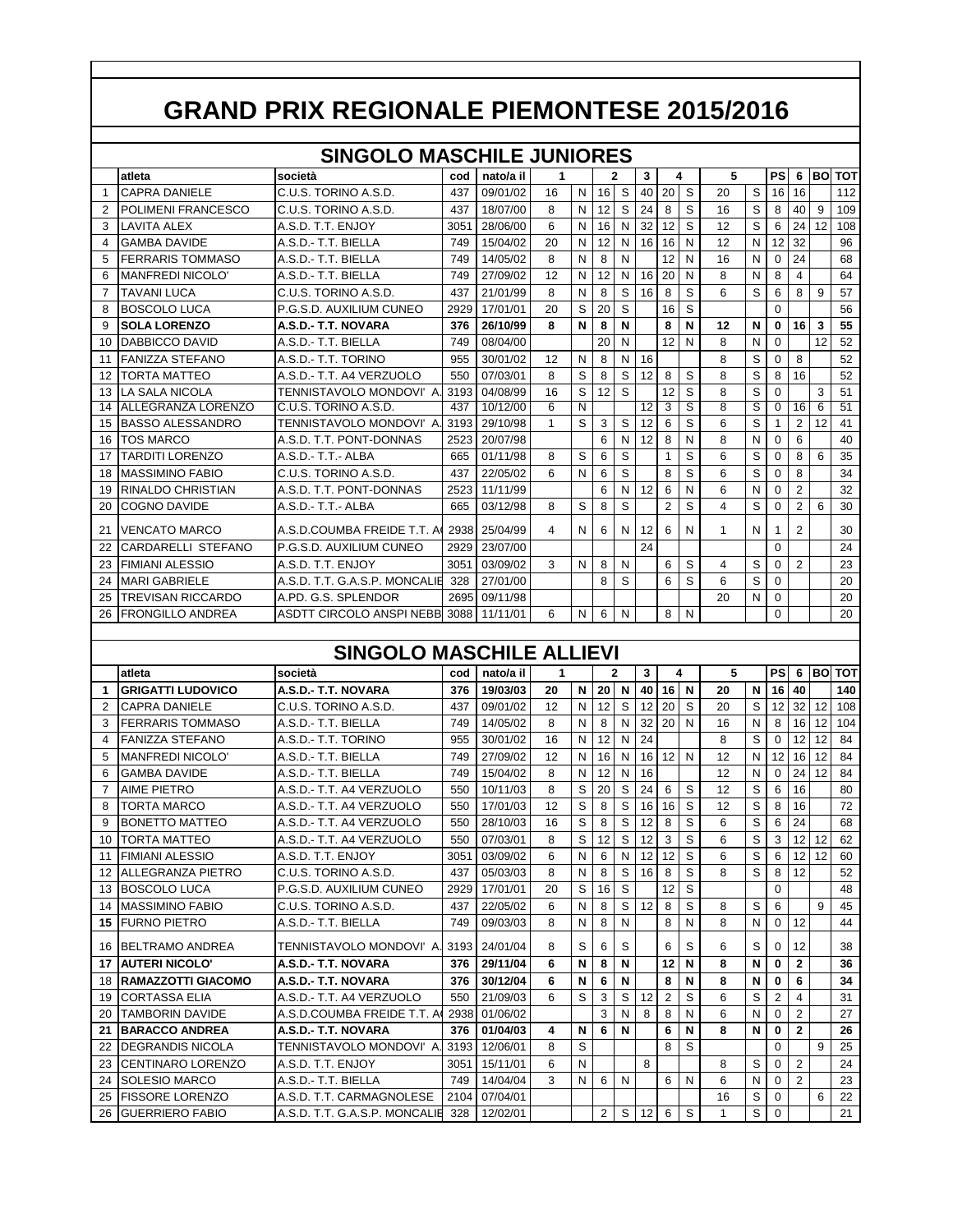|                |                           | <b>SINGOLO MASCHILE JUNIORES</b> |      |           |    |                |    |   |    |                |   |    |   |           |                 |      |            |
|----------------|---------------------------|----------------------------------|------|-----------|----|----------------|----|---|----|----------------|---|----|---|-----------|-----------------|------|------------|
|                | atleta                    | società                          | cod  | nato/a il |    |                |    | 2 | 3  |                | 4 | 5  |   | <b>PS</b> | 6               | lBol | <b>TOT</b> |
| $\mathbf{1}$   | <b>CAPRA DANIELE</b>      | C.U.S. TORINO A.S.D.             | 437  | 09/01/02  | 16 | N              | 16 | S | 40 | 20             | S | 20 | S | 16        | 16              |      | 112        |
| 2              | POLIMENI FRANCESCO        | C.U.S. TORINO A.S.D.             | 437  | 18/07/00  | 8  | N              | 12 | S | 24 | 8              | S | 16 | S | 8         | 40              | 9    | 109        |
| 3              | <b>LAVITA ALEX</b>        | A.S.D. T.T. ENJOY                | 3051 | 28/06/00  | 6  | N              | 16 | N | 32 | 12             | S | 12 | S | 6         | 24              | 12   | 108        |
| $\overline{4}$ | <b>GAMBA DAVIDE</b>       | A.S.D.- T.T. BIELLA              | 749  | 15/04/02  | 20 | N              | 12 | N | 16 | 16             | N | 12 | N | 12        | 32              |      | 96         |
| 5              | <b>FERRARIS TOMMASO</b>   | A.S.D.- T.T. BIELLA              | 749  | 14/05/02  | 8  | N              | 8  | N |    | 12             | N | 16 | N | $\Omega$  | 24              |      | 68         |
| 6              | MANFREDI NICOLO'          | A.S.D.- T.T. BIELLA              | 749  | 27/09/02  | 12 | N              | 12 | N | 16 | 20             | N | 8  | N | 8         | 4               |      | 64         |
| $\overline{7}$ | <b>TAVANI LUCA</b>        | C.U.S. TORINO A.S.D.             | 437  | 21/01/99  | 8  | N              | 8  | S | 16 | 8              | S | 6  | S | 6         | 8               | 9    | 57         |
| 8              | BOSCOLO LUCA              | P.G.S.D. AUXILIUM CUNEO          | 2929 | 17/01/01  | 20 | S              | 20 | S |    | 16             | S |    |   | $\Omega$  |                 |      | 56         |
| 9              | <b>SOLA LORENZO</b>       | A.S.D.- T.T. NOVARA              | 376  | 26/10/99  | 8  | N              | 8  | N |    | 8              | N | 12 | N | 0         | 16 <sup>1</sup> | 3    | 55         |
| 10             | DABBICCO DAVID            | A.S.D.- T.T. BIELLA              | 749  | 08/04/00  |    |                | 20 | N |    | 12             | N | 8  | N | $\Omega$  |                 | 12   | 52         |
| 11             | <b>FANIZZA STEFANO</b>    | A.S.D.- T.T. TORINO              | 955  | 30/01/02  | 12 | N              | 8  | N | 16 |                |   | 8  | S | $\Omega$  | 8               |      | 52         |
| 12             | <b>TORTA MATTEO</b>       | A.S.D.- T.T. A4 VERZUOLO         | 550  | 07/03/01  | 8  | S              | 8  | S | 12 | 8              | S | 8  | S | 8         | 16              |      | 52         |
| 13             | <b>LA SALA NICOLA</b>     | TENNISTAVOLO MONDOVI' A.         | 3193 | 04/08/99  | 16 | S              | 12 | S |    | 12             | S | 8  | S | $\Omega$  |                 | 3    | 51         |
| 14             | <b>ALLEGRANZA LORENZO</b> | C.U.S. TORINO A.S.D.             | 437  | 10/12/00  | 6  | $\overline{N}$ |    |   | 12 | 3              | S | 8  | S | $\Omega$  | 16              | 6    | 51         |
| 15             | <b>BASSO ALESSANDRO</b>   | TENNISTAVOLO MONDOVI' A.         | 3193 | 29/10/98  | 1  | S              | 3  | S | 12 | 6              | S | 6  | S |           | 2               | 12   | 41         |
| 16             | <b>TOS MARCO</b>          | A.S.D. T.T. PONT-DONNAS          | 2523 | 20/07/98  |    |                | 6  | N | 12 | 8              | N | 8  | N | $\Omega$  | 6               |      | 40         |
| 17             | <b>TARDITI LORENZO</b>    | A.S.D.-T.T.-ALBA                 | 665  | 01/11/98  | 8  | S              | 6  | S |    | 1              | S | 6  | S | $\Omega$  | 8               | 6    | 35         |
| 18             | <b>MASSIMINO FABIO</b>    | C.U.S. TORINO A.S.D.             | 437  | 22/05/02  | 6  | N              | 6  | S |    | 8              | S | 6  | S | $\Omega$  | 8               |      | 34         |
| 19             | <b>RINALDO CHRISTIAN</b>  | A.S.D. T.T. PONT-DONNAS          | 2523 | 11/11/99  |    |                | 6  | Ν | 12 | 6              | N | 6  | N | $\Omega$  | $\overline{2}$  |      | 32         |
| 20             | <b>COGNO DAVIDE</b>       | A.S.D.-T.T.-ALBA                 | 665  | 03/12/98  | 8  | S              | 8  | S |    | $\overline{2}$ | S | 4  | S | $\Omega$  | $\overline{2}$  | 6    | 30         |
| 21             | <b>VENCATO MARCO</b>      | A.S.D.COUMBA FREIDE T.T. A       | 2938 | 25/04/99  | 4  | N              | 6  | N | 12 | 6              | N | 1  | N |           | $\overline{2}$  |      | 30         |
| 22             | CARDARELLI STEFANO        | P.G.S.D. AUXILIUM CUNEO          | 2929 | 23/07/00  |    |                |    |   | 24 |                |   |    |   | $\Omega$  |                 |      | 24         |
| 23             | <b>FIMIANI ALESSIO</b>    | A.S.D. T.T. ENJOY                | 3051 | 03/09/02  | 3  | N              | 8  | N |    | 6              | S | 4  | S | 0         | $\overline{2}$  |      | 23         |
| 24             | <b>MARI GABRIELE</b>      | A.S.D. T.T. G.A.S.P. MONCALIE    | 328  | 27/01/00  |    |                | 8  | S |    | 6              | S | 6  | S | 0         |                 |      | 20         |
| 25             | <b>TREVISAN RICCARDO</b>  | A.PD. G.S. SPLENDOR              | 2695 | 09/11/98  |    |                |    |   |    |                |   | 20 | N | $\Omega$  |                 |      | 20         |
| 26             | <b>FRONGILLO ANDREA</b>   | ASDTT CIRCOLO ANSPINEBB 3088     |      | 11/11/01  | 6  | N              | 6  | N |    | 8              | N |    |   | $\Omega$  |                 |      | 20         |

## **SINGOLO MASCHILE ALLIEVI**

|                | atleta                     | società                       | cod  | nato/a il | 1  |   |                 | 2 | 3  |    | 4 | 5  |   | PSI            |                 |                 | 6 BO TOT |
|----------------|----------------------------|-------------------------------|------|-----------|----|---|-----------------|---|----|----|---|----|---|----------------|-----------------|-----------------|----------|
| 1              | <b>GRIGATTI LUDOVICO</b>   | A.S.D.- T.T. NOVARA           | 376  | 19/03/03  | 20 | N | 20              | N | 40 | 16 | N | 20 | N | 16             | 40              |                 | 140      |
| $\overline{2}$ | <b>CAPRA DANIELE</b>       | C.U.S. TORINO A.S.D.          | 437  | 09/01/02  | 12 | N | 12              | S | 12 | 20 | S | 20 | S | 12             | 32 <sup>1</sup> | 12              | 108      |
| 3              | <b>FERRARIS TOMMASO</b>    | A.S.D.- T.T. BIELLA           | 749  | 14/05/02  | 8  | N | 8               | N | 32 | 20 | N | 16 | N | 8              | 16 <sup>1</sup> | 12              | 104      |
| 4              | <b>FANIZZA STEFANO</b>     | A.S.D.- T.T. TORINO           | 955  | 30/01/02  | 16 | N | 12              | N | 24 |    |   | 8  | S | <sup>0</sup>   | 12              | 12              | 84       |
| 5              | MANFREDI NICOLO'           | A.S.D.- T.T. BIELLA           | 749  | 27/09/02  | 12 | N | 16              | N | 16 | 12 | N | 12 | N | 12             | 16              | 12              | 84       |
| 6              | <b>GAMBA DAVIDE</b>        | A.S.D.- T.T. BIELLA           | 749  | 15/04/02  | 8  | N | 12              | N | 16 |    |   | 12 | N | $\Omega$       | 24              | 12 <sup>2</sup> | 84       |
| 7              | <b>AIME PIETRO</b>         | A.S.D.- T.T. A4 VERZUOLO      | 550  | 10/11/03  | 8  | S | 20              | S | 24 | 6  | S | 12 | S | 6              | 16              |                 | 80       |
| 8              | <b>TORTA MARCO</b>         | A.S.D.- T.T. A4 VERZUOLO      | 550  | 17/01/03  | 12 | S | 8               | S | 16 | 16 | S | 12 | S | 8              | 16              |                 | 72       |
| 9              | <b>BONETTO MATTEO</b>      | A.S.D.- T.T. A4 VERZUOLO      | 550  | 28/10/03  | 16 | S | 8               | S | 12 | 8  | S | 6  | S | 6              | 24              |                 | 68       |
| 10             | <b>TORTA MATTEO</b>        | A.S.D.- T.T. A4 VERZUOLO      | 550  | 07/03/01  | 8  | S | 12 <sup>2</sup> | S | 12 | 3  | S | 6  | S | 3              | 12              | 12              | 62       |
| 11             | <b>FIMIANI ALESSIO</b>     | A.S.D. T.T. ENJOY             | 3051 | 03/09/02  | 6  | N | 6               | N | 12 | 12 | S | 6  | S | 6              | 12 <sub>1</sub> | 12              | 60       |
| 12             | <b>ALLEGRANZA PIETRO</b>   | C.U.S. TORINO A.S.D.          | 437  | 05/03/03  | 8  | N | 8               | S | 16 | 8  | S | 8  | S | 8              | 12              |                 | 52       |
| 13             | <b>BOSCOLO LUCA</b>        | P.G.S.D. AUXILIUM CUNEO       | 2929 | 17/01/01  | 20 | S | 16              | S |    | 12 | S |    |   | $\Omega$       |                 |                 | 48       |
| 14             | <b>MASSIMINO FABIO</b>     | C.U.S. TORINO A.S.D.          | 437  | 22/05/02  | 6  | N | 8               | S | 12 | 8  | S | 8  | S | 6              |                 | 9               | 45       |
| 15             | <b>FURNO PIETRO</b>        | A.S.D.- T.T. BIELLA           | 749  | 09/03/03  | 8  | N | 8               | N |    | 8  | N | 8  | N | $\Omega$       | 12              |                 | 44       |
| 16             | <b>BELTRAMO ANDREA</b>     | TENNISTAVOLO MONDOVI' A. 3193 |      | 24/01/04  | 8  | S | 6               | S |    | 6  | S | 6  | S | <sup>0</sup>   | 12              |                 | 38       |
| 17             | <b>AUTERI NICOLO'</b>      | A.S.D.- T.T. NOVARA           | 376  | 29/11/04  | 6  | N | 8               | N |    | 12 | N | 8  | N | 0              | $\mathbf{2}$    |                 | 36       |
| 18             | <b>IRAMAZZOTTI GIACOMO</b> | A.S.D.- T.T. NOVARA           | 376  | 30/12/04  | 6  | N | 6               | N |    | 8  | N | 8  | N | 0              | 6               |                 | 34       |
| 19             | <b>CORTASSA ELIA</b>       | A.S.D.- T.T. A4 VERZUOLO      | 550  | 21/09/03  | 6  | S | 3               | S | 12 | 2  | S | 6  | S | $\overline{2}$ | 4               |                 | 31       |
| 20             | <b>TAMBORIN DAVIDE</b>     | A.S.D.COUMBA FREIDE T.T. A    | 2938 | 01/06/02  |    |   | 3               | N | 8  | 8  | N | 6  | N | $\Omega$       | $\overline{2}$  |                 | 27       |
| 21             | <b>BARACCO ANDREA</b>      | A.S.D.- T.T. NOVARA           | 376  | 01/04/03  | 4  | N | 6               | N |    | 6  | N | 8  | N | 0              | $\mathbf{2}$    |                 | 26       |
| 22             | <b>DEGRANDIS NICOLA</b>    | TENNISTAVOLO MONDOVI' A       | 3193 | 12/06/01  | 8  | S |                 |   |    | 8  | S |    |   | $\Omega$       |                 | 9               | 25       |
| 23             | <b>CENTINARO LORENZO</b>   | A.S.D. T.T. ENJOY             | 3051 | 15/11/01  | 6  | N |                 |   | 8  |    |   | 8  | S | <sup>0</sup>   | 2               |                 | 24       |
| 24             | SOLESIO MARCO              | A.S.D.- T.T. BIELLA           | 749  | 14/04/04  | 3  | N | 6               | N |    | 6  | N | 6  | N | $\Omega$       | 2               |                 | 23       |
| 25             | <b>FISSORE LORENZO</b>     | A.S.D. T.T. CARMAGNOLESE      | 2104 | 07/04/01  |    |   |                 |   |    |    |   | 16 | S | $\Omega$       |                 | 6               | 22       |
| 26             | <b>GUERRIERO FABIO</b>     | A.S.D. T.T. G.A.S.P. MONCALIE | 328  | 12/02/01  |    |   | $\overline{2}$  | S | 12 | 6  | S |    | S | 0              |                 |                 | 21       |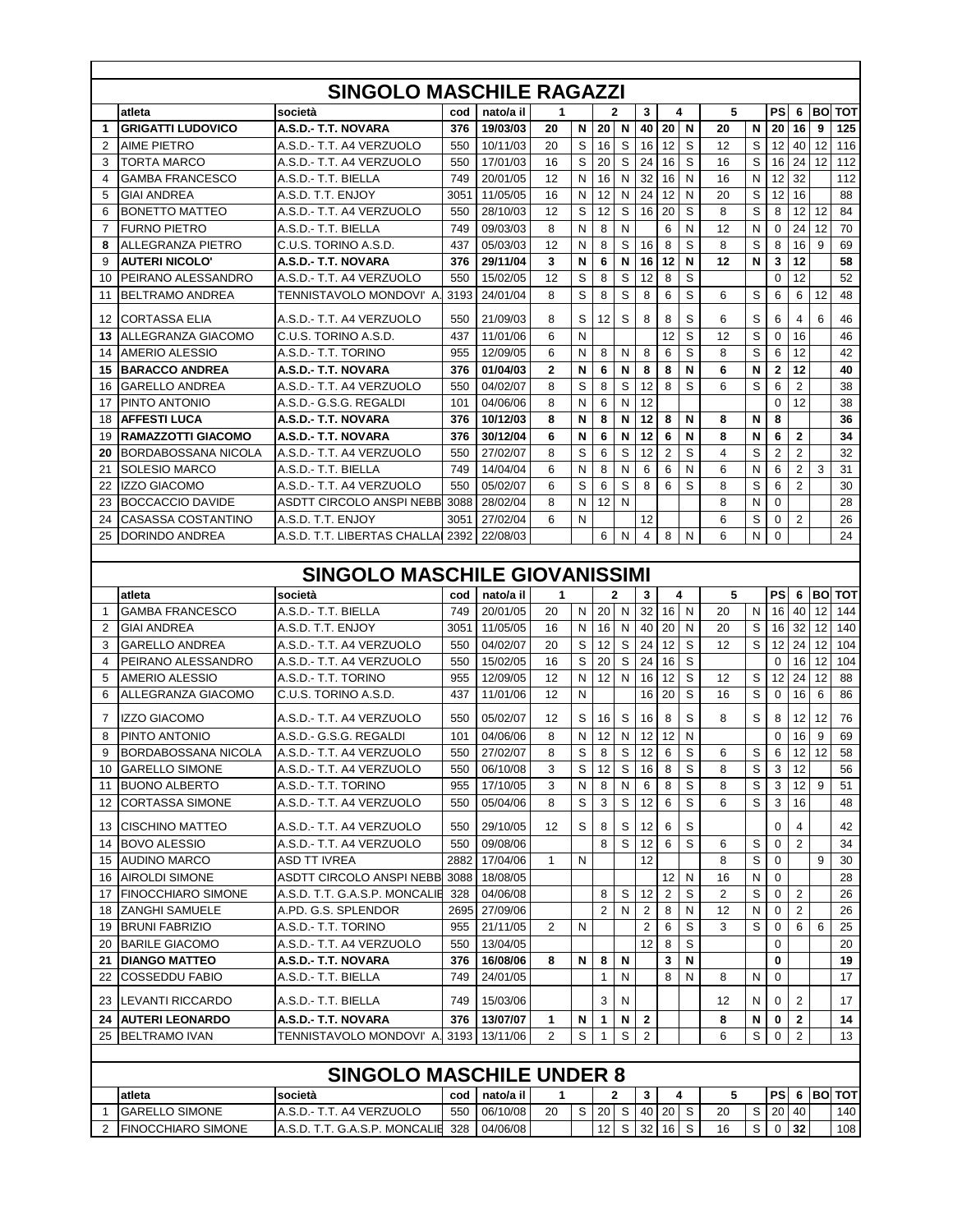|    |                            | <b>SINGOLO MASCHILE RAGAZZI</b> |      |           |                |   |                 |              |                 |                 |             |                |   |                 |                |    |               |
|----|----------------------------|---------------------------------|------|-----------|----------------|---|-----------------|--------------|-----------------|-----------------|-------------|----------------|---|-----------------|----------------|----|---------------|
|    | atleta                     | società                         | cod  | nato/a il | 1              |   |                 | $\mathbf{2}$ | 3               |                 | 4           | 5              |   | <b>PS</b>       | 6              |    | <b>BOITOT</b> |
| 1  | <b>GRIGATTI LUDOVICO</b>   | A.S.D.- T.T. NOVARA             | 376  | 19/03/03  | 20             | N | 20              | N            | 40              | 20              | N           | 20             | N | 20              | 16             | 9  | 125           |
| 2  | AIME PIETRO                | A.S.D.- T.T. A4 VERZUOLO        | 550  | 10/11/03  | 20             | S | 16              | S            | 16              | 12              | S           | 12             | S | 12              | 40             | 12 | 116           |
| 3  | TORTA MARCO                | A.S.D.- T.T. A4 VERZUOLO        | 550  | 17/01/03  | 16             | S | 20              | S            | 24              | 16              | S           | 16             | S | 16              | 24             | 12 | 112           |
| 4  | <b>GAMBA FRANCESCO</b>     | A.S.D.- T.T. BIELLA             | 749  | 20/01/05  | 12             | N | 16              | N            | 32              | 16              | N           | 16             | N | 12              | 32             |    | 112           |
| 5  | <b>GIAI ANDREA</b>         | A.S.D. T.T. ENJOY               | 3051 | 11/05/05  | 16             | N | 12              | N            | 24              | 12              | N           | 20             | S | 12              | 16             |    | 88            |
| 6  | <b>BONETTO MATTEO</b>      | A.S.D.- T.T. A4 VERZUOLO        | 550  | 28/10/03  | 12             | S | 12              | S            | 16              | 20              | S           | 8              | S | 8               | 12             | 12 | 84            |
| 7  | <b>FURNO PIETRO</b>        | A.S.D.- T.T. BIELLA             | 749  | 09/03/03  | 8              | N | 8               | N            |                 | 6               | N           | 12             | N | $\mathbf 0$     | 24             | 12 | 70            |
| 8  | ALLEGRANZA PIETRO          | C.U.S. TORINO A.S.D.            | 437  | 05/03/03  | 12             | N | 8               | S            | 16              | 8               | S           | 8              | S | 8               | 16             | 9  | 69            |
| 9  | <b>AUTERI NICOLO'</b>      | A.S.D.- T.T. NOVARA             | 376  | 29/11/04  | 3              | N | 6               | N            | 16              | 12              | N           | 12             | N | 3               | 12             |    | 58            |
| 10 | PEIRANO ALESSANDRO         | A.S.D.- T.T. A4 VERZUOLO        | 550  | 15/02/05  | 12             | S | 8               | S            | 12              | 8               | S           |                |   | $\mathbf 0$     | 12             |    | 52            |
| 11 | <b>BELTRAMO ANDREA</b>     | TENNISTAVOLO MONDOVI' A.        | 3193 | 24/01/04  | 8              | S | 8               | S            | 8               | 6               | S           | 6              | S | 6               | 6              | 12 | 48            |
|    |                            |                                 |      |           |                |   |                 |              |                 |                 |             |                |   |                 |                |    |               |
| 12 | <b>CORTASSA ELIA</b>       | A.S.D.- T.T. A4 VERZUOLO        | 550  | 21/09/03  | 8              | S | 12              | S            | 8               | 8               | S           | 6              | S | 6               | 4              | 6  | 46            |
| 13 | ALLEGRANZA GIACOMO         | C.U.S. TORINO A.S.D.            | 437  | 11/01/06  | 6              | N |                 |              |                 | 12              | S           | 12             | S | 0               | 16             |    | 46            |
| 14 | AMERIO ALESSIO             | A.S.D.- T.T. TORINO             | 955  | 12/09/05  | 6              | N | 8               | N            | 8               | 6               | S           | 8              | S | 6               | 12             |    | 42            |
| 15 | <b>BARACCO ANDREA</b>      | A.S.D.- T.T. NOVARA             | 376  | 01/04/03  | $\mathbf{2}$   | N | 6               | N            | 8               | 8               | N           | 6              | N | $\mathbf{2}$    | 12             |    | 40            |
| 16 | <b>GARELLO ANDREA</b>      | A.S.D.- T.T. A4 VERZUOLO        | 550  | 04/02/07  | 8              | S | 8               | S            | 12              | 8               | S           | 6              | S | 6               | $\overline{2}$ |    | 38            |
| 17 | PINTO ANTONIO              | A.S.D.- G.S.G. REGALDI          | 101  | 04/06/06  | 8              | N | 6               | N            | 12              |                 |             |                |   | $\mathbf 0$     | 12             |    | 38            |
| 18 | <b>AFFESTI LUCA</b>        | A.S.D.- T.T. NOVARA             | 376  | 10/12/03  | 8              | N | 8               | N            | 12              | 8               | N           | 8              | N | 8               |                |    | 36            |
| 19 | <b>RAMAZZOTTI GIACOMO</b>  | A.S.D.- T.T. NOVARA             | 376  | 30/12/04  | 6              | N | 6               | N            | 12              | 6               | N           | 8              | N | 6               | $\overline{2}$ |    | 34            |
| 20 | <b>BORDABOSSANA NICOLA</b> | A.S.D.- T.T. A4 VERZUOLO        | 550  | 27/02/07  | 8              | S | 6               | S            | 12              | $\overline{2}$  | S           | 4              | S | $\overline{2}$  | $\overline{2}$ |    | 32            |
| 21 | <b>SOLESIO MARCO</b>       | A.S.D.- T.T. BIELLA             | 749  | 14/04/04  | 6              | N | 8               | N            | 6               | 6               | N           | 6              | N | 6               | $\overline{2}$ | 3  | 31            |
| 22 | <b>IZZO GIACOMO</b>        | A.S.D.- T.T. A4 VERZUOLO        | 550  | 05/02/07  | 6              | S | 6               | S            | 8               | 6               | S           | 8              | S | 6               | 2              |    | 30            |
| 23 | <b>BOCCACCIO DAVIDE</b>    | ASDTT CIRCOLO ANSPI NEBB        | 3088 | 28/02/04  | 8              | N | 12              | N            |                 |                 |             | 8              | N | $\mathbf 0$     |                |    | 28            |
| 24 | <b>CASASSA COSTANTINO</b>  | A.S.D. T.T. ENJOY               | 3051 | 27/02/04  | 6              | N |                 |              | 12              |                 |             | 6              | S | $\mathbf 0$     | $\overline{2}$ |    | 26            |
| 25 | DORINDO ANDREA             | A.S.D. T.T. LIBERTAS CHALLA     | 2392 | 22/08/03  |                |   | 6               | N            | 4               | 8               | N           | 6              | N | $\mathbf 0$     |                |    | 24            |
|    |                            |                                 |      |           |                |   |                 |              |                 |                 |             |                |   |                 |                |    |               |
|    |                            | SINGOLO MASCHILE GIOVANISSIMI   |      |           |                |   |                 |              |                 |                 |             |                |   |                 |                |    |               |
|    | atleta                     | società                         | cod  | nato/a il | 1              |   |                 | $\mathbf{2}$ | 3               |                 | 4           | 5              |   | PS              | 6              |    | <b>BOITOT</b> |
| 1  | <b>GAMBA FRANCESCO</b>     | A.S.D.- T.T. BIELLA             | 749  | 20/01/05  | 20             | N | 20              | N            | 32              | 16 <sup>1</sup> | N           | 20             | N | 16              | 40             | 12 | 144           |
| 2  | GIAI ANDREA                | A.S.D. T.T. ENJOY               | 3051 | 11/05/05  | 16             | N | 16              | N            | 40              | 20              | N           | 20             | S | 16              | 32             | 12 | 140           |
| 3  | <b>GARELLO ANDREA</b>      | A.S.D.- T.T. A4 VERZUOLO        | 550  | 04/02/07  | 20             | S | 12              | S            | 24              | 12              | S           | 12             | S | 12              | 24             | 12 | 104           |
| 4  | PEIRANO ALESSANDRO         | A.S.D.- T.T. A4 VERZUOLO        | 550  | 15/02/05  | 16             | S | 20              | S            | 24              | 16              | S           |                |   | 0               | 16             | 12 | 104           |
| 5  | AMERIO ALESSIO             | A.S.D.- T.T. TORINO             | 955  | 12/09/05  | 12             | N | 12              | N            | 16              | 12              | S           | 12             | S | 12              | 24             | 12 | 88            |
| 6  | ALLEGRANZA GIACOMO         | C.U.S. TORINO A.S.D.            | 437  | 11/01/06  | 12             | N |                 |              | 16              | 20              | S           | 16             | S | $\mathbf 0$     | 16             | 6  | 86            |
| 7  | <b>IZZO GIACOMO</b>        | A.S.D.- T.T. A4 VERZUOLO        | 550  | 05/02/07  | 12             | S | 16              | S            | 16 <sup>1</sup> | 8               | S           | 8              | S | 8               | 12             | 12 | 76            |
| 8  | PINTO ANTONIO              | A.S.D.- G.S.G. REGALDI          | 101  | 04/06/06  | 8              | N | 12              | N            | 12              | 12              | N           |                |   | 0               | 16             | 9  | 69            |
| 9  | <b>BORDABOSSANA NICOLA</b> | A.S.D.- T.T. A4 VERZUOLO        | 550  | 27/02/07  | 8              | S | 8               | S            | 12              | 6               | S           | 6              | S | 6               | 12             | 12 | 58            |
| 10 | <b>GARELLO SIMONE</b>      | A.S.D.- T.T. A4 VERZUOLO        | 550  | 06/10/08  | 3              | S | 12              | S            | 16 8            |                 | S           | 8              | S | 3               | 12             |    | 56            |
| 11 | <b>BUONO ALBERTO</b>       | A.S.D.- T.T. TORINO             | 955  | 17/10/05  | 3              | N | 8               | N            | 6               | 8               | $\mathsf S$ | 8              | S | 3               | 12             | 9  | 51            |
| 12 | <b>CORTASSA SIMONE</b>     | A.S.D.- T.T. A4 VERZUOLO        | 550  | 05/04/06  | 8              | S | 3               | S            | 12              | 6               | S           | 6              | S | 3               | 16             |    | 48            |
|    |                            |                                 |      |           |                |   |                 |              |                 |                 |             |                |   |                 |                |    |               |
| 13 | <b>CISCHINO MATTEO</b>     | A.S.D.- T.T. A4 VERZUOLO        | 550  | 29/10/05  | 12             | S | 8               | S            | 12 <sub>l</sub> | 6               | S           |                |   | $\mathbf 0$     | 4              |    | 42            |
| 14 | <b>BOVO ALESSIO</b>        | A.S.D.- T.T. A4 VERZUOLO        | 550  | 09/08/06  |                |   | 8               | S            | 12              | 6               | S           | 6              | S | $\mathbf 0$     | 2              |    | 34            |
| 15 | <b>AUDINO MARCO</b>        | <b>ASD TT IVREA</b>             | 2882 | 17/04/06  | 1              | N |                 |              | 12              |                 |             | 8              | S | 0               |                | 9  | 30            |
| 16 | <b>AIROLDI SIMONE</b>      | ASDTT CIRCOLO ANSPI NEBB        | 3088 | 18/08/05  |                |   |                 |              |                 | 12              | N           | 16             | N | $\mathbf 0$     |                |    | 28            |
| 17 | <b>FINOCCHIARO SIMONE</b>  | A.S.D. T.T. G.A.S.P. MONCALIE   | 328  | 04/06/08  |                |   | 8               | S            | 12              | 2               | S           | $\overline{c}$ | S | 0               | $\overline{2}$ |    | 26            |
| 18 | <b>ZANGHI SAMUELE</b>      | A.PD. G.S. SPLENDOR             | 2695 | 27/09/06  |                |   | 2               | N            | 2               | 8               | N           | 12             | N | 0               | 2              |    | 26            |
| 19 | <b>BRUNI FABRIZIO</b>      | A.S.D.- T.T. TORINO             | 955  | 21/11/05  | $\overline{2}$ | N |                 |              | $\overline{2}$  | 6               | S           | 3              | S | $\mathbf 0$     | 6              | 6  | 25            |
| 20 | <b>BARILE GIACOMO</b>      | A.S.D.- T.T. A4 VERZUOLO        | 550  | 13/04/05  |                |   |                 |              | 12 <sub>1</sub> | 8               | S           |                |   | 0               |                |    | 20            |
| 21 | <b>DIANGO MATTEO</b>       | A.S.D.- T.T. NOVARA             | 376  | 16/08/06  | 8              | N | 8               | N            |                 | 3               | N           |                |   | 0               |                |    | 19            |
| 22 | <b>COSSEDDU FABIO</b>      | A.S.D.- T.T. BIELLA             | 749  | 24/01/05  |                |   | 1               | N            |                 | 8               | N           | 8              | N | 0               |                |    | 17            |
| 23 | LEVANTI RICCARDO           | A.S.D.- T.T. BIELLA             | 749  | 15/03/06  |                |   | 3               | N            |                 |                 |             | 12             | N | 0               | $\overline{2}$ |    | 17            |
| 24 | <b>AUTERI LEONARDO</b>     | A.S.D.- T.T. NOVARA             | 376  | 13/07/07  | 1              | N | 1               | N            | $\mathbf{2}$    |                 |             | 8              | N | 0               | 2              |    | 14            |
| 25 | <b>BELTRAMO IVAN</b>       | TENNISTAVOLO MONDOVI'A.         | 3193 | 13/11/06  | 2              | S | 1               | S            | 2               |                 |             | 6              | S | 0               | 2              |    | 13            |
|    |                            |                                 |      |           |                |   |                 |              |                 |                 |             |                |   |                 |                |    |               |
|    |                            | <b>SINGOLO MASCHILE UNDER 8</b> |      |           |                |   |                 |              |                 |                 |             |                |   |                 |                |    |               |
|    | atleta                     | società                         | cod  | nato/a il | 1              |   |                 | 2            | 3               |                 | 4           | 5              |   | PS              | 6              |    | <b>BO TOT</b> |
| 1  | <b>GARELLO SIMONE</b>      | A.S.D.- T.T. A4 VERZUOLO        | 550  | 06/10/08  | 20             | S |                 | 20 S         |                 | 40 20 $\vert$ S |             | 20             | S | 20 <sub>1</sub> | 40             |    | 140           |
| 2  | <b>FINOCCHIARO SIMONE</b>  | A.S.D. T.T. G.A.S.P. MONCALIE   | 328  | 04/06/08  |                |   | 12 <sub>1</sub> | S            | 32 <sub>1</sub> | 16 <sup>1</sup> | S           | 16             | S | 0               | 32             |    | 108           |
|    |                            |                                 |      |           |                |   |                 |              |                 |                 |             |                |   |                 |                |    |               |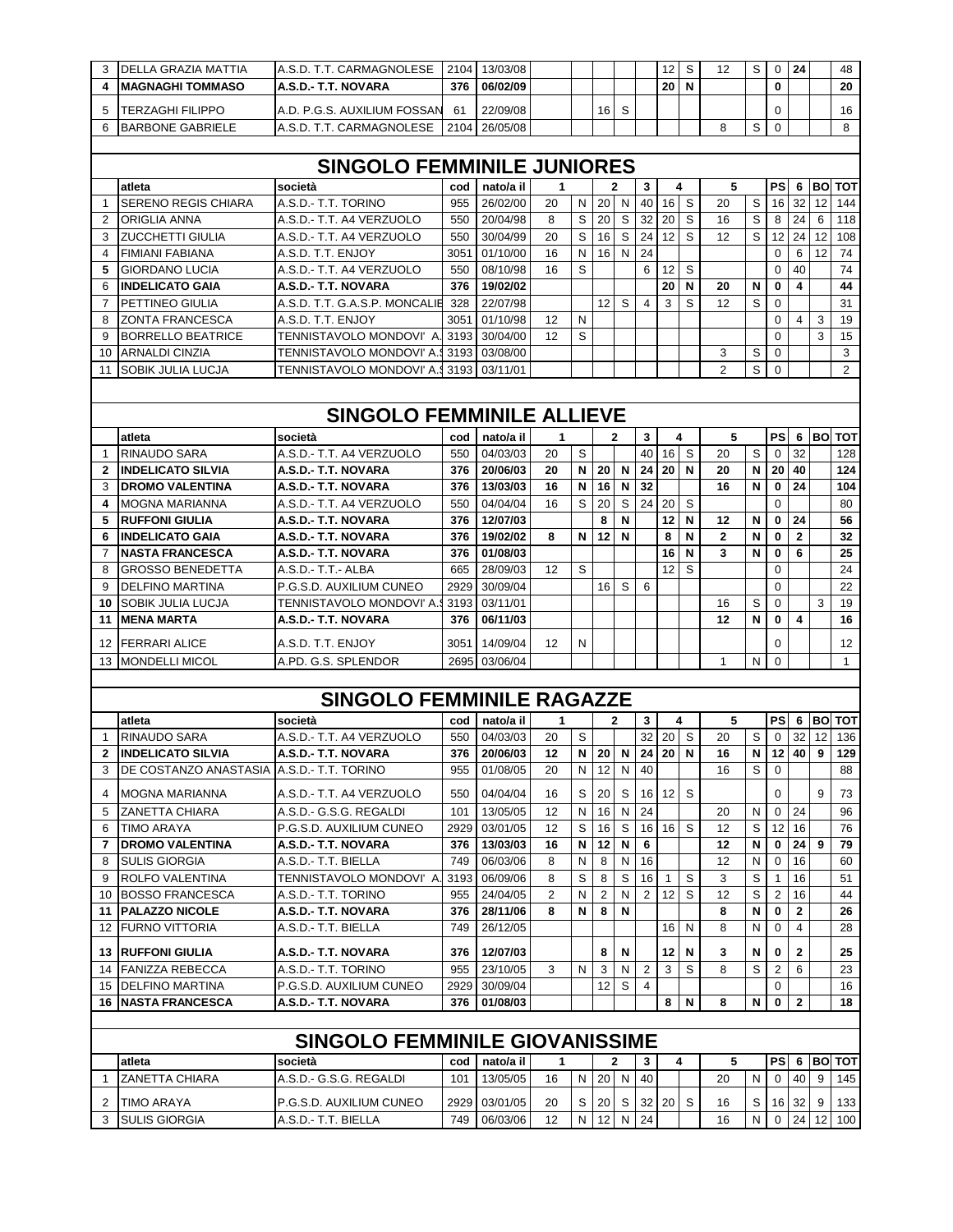| 3                       | DELLA GRAZIA MATTIA                             | A.S.D. T.T. CARMAGNOLESE                       | 2104        | 13/03/08             |             |           |                 |              |                         | 12           | S | 12             | S      | $\mathbf 0$    | 24                      |    | 48             |
|-------------------------|-------------------------------------------------|------------------------------------------------|-------------|----------------------|-------------|-----------|-----------------|--------------|-------------------------|--------------|---|----------------|--------|----------------|-------------------------|----|----------------|
| 4                       | <b>MAGNAGHI TOMMASO</b>                         | A.S.D.- T.T. NOVARA                            | 376         | 06/02/09             |             |           |                 |              |                         | 20           | N |                |        | 0              |                         |    | 20             |
| 5                       | TERZAGHI FILIPPO                                | A.D. P.G.S. AUXILIUM FOSSAN                    | 61          | 22/09/08             |             |           | 16              | S            |                         |              |   |                |        | $\Omega$       |                         |    | 16             |
| 6                       | <b>BARBONE GABRIELE</b>                         | A.S.D. T.T. CARMAGNOLESE                       | 2104        | 26/05/08             |             |           |                 |              |                         |              |   | 8              | S      | 0              |                         |    | 8              |
|                         |                                                 |                                                |             |                      |             |           |                 |              |                         |              |   |                |        |                |                         |    |                |
|                         |                                                 | <b>SINGOLO FEMMINILE JUNIORES</b>              |             |                      |             |           |                 |              |                         |              |   |                |        |                |                         |    |                |
|                         | atleta                                          | società                                        | cod         | nato/a il            | 1           |           |                 | $\mathbf{2}$ | 3                       |              | 4 | 5              |        | PS             | 6                       |    | <b>BOITOT</b>  |
| 1                       | <b>SERENO REGIS CHIARA</b>                      | A.S.D.- T.T. TORINO                            | 955         | 26/02/00             | 20          | N         | 20              | N            | 40                      | 16           | S | 20             | S      | 16             | 32                      | 12 | 144            |
| $\overline{2}$          | ORIGLIA ANNA                                    | A.S.D.- T.T. A4 VERZUOLO                       | 550         | 20/04/98             | 8           | S         | 20              | S            | 32                      | 20           | S | 16             | S      | 8              | 24                      | 6  | 118            |
| 3                       | <b>ZUCCHETTI GIULIA</b>                         | A.S.D.- T.T. A4 VERZUOLO                       | 550         | 30/04/99             | 20          | S         | 16              | S            | 24                      | 12           | S | 12             | S      | 12             | 24                      | 12 | 108            |
| $\overline{4}$          | <b>FIMIANI FABIANA</b>                          | A.S.D. T.T. ENJOY                              | 3051        | 01/10/00             | 16          | N         | 16              | N            | 24                      |              |   |                |        | $\Omega$       | 6                       | 12 | 74             |
| 5                       | <b>GIORDANO LUCIA</b>                           | A.S.D.- T.T. A4 VERZUOLO                       | 550         | 08/10/98             | 16          | S         |                 |              | 6                       | 12           | S |                |        | $\mathbf 0$    | 40                      |    | 74             |
| 6                       | <b>INDELICATO GAIA</b>                          | A.S.D.- T.T. NOVARA                            | 376         | 19/02/02             |             |           |                 |              |                         | 20           | N | 20             | N      | $\bf{0}$       | 4                       |    | 44             |
| $\overline{7}$          | PETTINEO GIULIA                                 | A.S.D. T.T. G.A.S.P. MONCALIE                  | 328         | 22/07/98             |             |           | 12 <sup>2</sup> | S            | 4                       | 3            | S | 12             | S      | $\mathbf 0$    |                         |    | 31             |
| 8                       | <b>ZONTA FRANCESCA</b>                          | A.S.D. T.T. ENJOY                              | 3051        | 01/10/98             | 12          | N         |                 |              |                         |              |   |                |        | $\Omega$       | $\overline{\mathbf{4}}$ | 3  | 19             |
| 9                       | <b>BORRELLO BEATRICE</b>                        | TENNISTAVOLO MONDOVI' A. 3193                  |             | 30/04/00             | 12          | S         |                 |              |                         |              |   |                |        | $\Omega$       |                         | 3  | 15             |
| 10                      | <b>ARNALDI CINZIA</b>                           | <b>TENNISTAVOLO MONDOVI' A.9</b>               | 3193        | 03/08/00             |             |           |                 |              |                         |              |   | 3              | S      | 0              |                         |    | 3              |
| 11                      | SOBIK JULIA LUCJA                               | <b>TENNISTAVOLO MONDOVI' A.9</b>               | 3193        | 03/11/01             |             |           |                 |              |                         |              |   | $\overline{2}$ | S      | $\mathbf 0$    |                         |    | $\overline{2}$ |
|                         |                                                 |                                                |             |                      |             |           |                 |              |                         |              |   |                |        |                |                         |    |                |
|                         |                                                 | <b>SINGOLO FEMMINILE ALLIEVE</b>               |             |                      |             |           |                 |              |                         |              |   |                |        |                |                         |    |                |
|                         | atleta                                          | società                                        | cod         | nato/a il            | $\mathbf 1$ |           |                 | 2            | 3                       |              | 4 | 5              |        | PS             | 6                       |    | <b>BO TOT</b>  |
| $\overline{\mathbf{1}}$ | RINAUDO SARA                                    | A.S.D.- T.T. A4 VERZUOLO                       | 550         | 04/03/03             | 20          | S         |                 |              | 40                      | 16           | S | 20             | S      | $\mathbf 0$    | 32                      |    | 128            |
| $\overline{2}$          | <b>INDELICATO SILVIA</b>                        | A.S.D.- T.T. NOVARA                            | 376         | 20/06/03             | 20          | N         | 20 <sub>1</sub> | N            | 24                      | 20           | N | 20             | N      | 20             | 40                      |    | 124            |
| 3                       | <b>DROMO VALENTINA</b>                          | A.S.D.- T.T. NOVARA                            | 376         | 13/03/03             | 16          | N         | 16              | N            | 32                      |              |   | 16             | N      | $\mathbf 0$    | 24                      |    | 104            |
| 4                       | <b>MOGNA MARIANNA</b>                           | A.S.D.- T.T. A4 VERZUOLO                       | 550         | 04/04/04             | 16          | S         | 20              | S            | 24                      | 20           | S |                |        | $\mathbf 0$    |                         |    | 80             |
| 5                       | <b>RUFFONI GIULIA</b>                           | A.S.D.- T.T. NOVARA                            | 376         | 12/07/03             |             |           | 8               | N            |                         | 12           | N | 12             | N      | $\mathbf 0$    | 24                      |    | 56             |
| 6                       | <b>INDELICATO GAIA</b>                          | A.S.D.- T.T. NOVARA                            | 376         | 19/02/02             | 8           | N         | 12              | N            |                         | 8            | N | $\mathbf{2}$   | N      | 0              | $\mathbf{2}$            |    | 32             |
| $\overline{7}$          | <b>NASTA FRANCESCA</b>                          | A.S.D.- T.T. NOVARA                            | 376         | 01/08/03             |             |           |                 |              |                         | 16           | N | 3              | N      | 0              | 6                       |    | 25             |
| 8                       | <b>GROSSO BENEDETTA</b>                         | A.S.D.- T.T.- ALBA                             | 665         | 28/09/03             | 12          | S         |                 |              |                         | 12           | S |                |        | $\mathbf 0$    |                         |    | 24             |
| 9                       | <b>DELFINO MARTINA</b>                          | P.G.S.D. AUXILIUM CUNEO                        | 2929        | 30/09/04             |             |           | 16 <sup>1</sup> | S            | 6                       |              |   |                |        | $\mathbf 0$    |                         |    | 22             |
| 10                      | <b>SOBIK JULIA LUCJA</b>                        | TENNISTAVOLO MONDOVI' A.                       | 3193        | 03/11/01             |             |           |                 |              |                         |              |   | 16             | S      | $\mathbf 0$    |                         | 3  | 19             |
| 11                      | <b>MENA MARTA</b>                               | A.S.D.- T.T. NOVARA                            | 376         | 06/11/03             |             |           |                 |              |                         |              |   | 12             | N      | 0              | 4                       |    | 16             |
| 12                      | <b>FERRARI ALICE</b>                            | A.S.D. T.T. ENJOY                              | 3051        | 14/09/04             | 12          | N         |                 |              |                         |              |   |                |        | 0              |                         |    | 12             |
| 13                      | <b>MONDELLI MICOL</b>                           | A.PD. G.S. SPLENDOR                            | 2695        | 03/06/04             |             |           |                 |              |                         |              |   | $\mathbf{1}$   | N      | $\mathbf 0$    |                         |    | $\mathbf{1}$   |
|                         |                                                 |                                                |             |                      |             |           |                 |              |                         |              |   |                |        |                |                         |    |                |
|                         |                                                 | <b>SINGOLO FEMMINILE RAGAZZE</b>               |             |                      |             |           |                 |              |                         |              |   |                |        |                |                         |    |                |
|                         | atleta                                          | società                                        | cod         | nato/a il            | 1           |           |                 | 2            | 3                       |              | 4 | 5              |        | PS             | -6                      |    | <b>BOITOT</b>  |
| 1                       | RINAUDO SARA                                    | A.S.D.- T.T. A4 VERZUOLO                       | 550         | 04/03/03             | 20          | S         |                 |              | 32                      | 20           | S | 20             | S      | $\mathbf 0$    | 32                      | 12 | 136            |
| 2                       | <b>INDELICATO SILVIA</b>                        | A.S.D.- T.T. NOVARA                            | 376         | 20/06/03             | 12          | N         | 20 N            |              |                         | 24 20 N      |   | 16             | N      |                | $12$ 40 9               |    | 129            |
| 3                       | DE COSTANZO ANASTASIA                           | A.S.D.- T.T. TORINO                            | 955         | 01/08/05             | 20          | N         | 12 <sub>1</sub> | N            | 40                      |              |   | 16             | S      | $\Omega$       |                         |    | 88             |
|                         |                                                 |                                                |             |                      |             |           |                 |              |                         |              |   |                |        |                |                         |    |                |
| 4                       | <b>MOGNA MARIANNA</b>                           | A.S.D.- T.T. A4 VERZUOLO                       | 550         | 04/04/04             | 16          | S         | 20              | S            | 16 <sup>1</sup>         | 12           | S |                |        | $\Omega$       |                         | 9  | 73             |
| 5                       | <b>ZANETTA CHIARA</b>                           | A.S.D.- G.S.G. REGALDI                         | 101         | 13/05/05             | 12          | N         | 16              | N            | 24                      |              |   | 20             | N      | $\mathbf 0$    | 24                      |    | 96             |
| 6                       | <b>TIMO ARAYA</b>                               | P.G.S.D. AUXILIUM CUNEO                        | 2929        | 03/01/05             | 12          | S         | 16              | S            | 16 <sup>1</sup>         | 16           | S | 12             | S      | 12             | 16                      |    | 76             |
| 7                       | <b>DROMO VALENTINA</b>                          | A.S.D.- T.T. NOVARA                            | 376         | 13/03/03             | 16          | N         | 12 <sub>1</sub> | N            | 6                       |              |   | 12             | N      | 0              | 24                      | 9  | 79             |
| 8<br>9                  | <b>SULIS GIORGIA</b><br>ROLFO VALENTINA         | A.S.D.- T.T. BIELLA<br>TENNISTAVOLO MONDOVI' A | 749<br>3193 | 06/03/06<br>06/09/06 | 8<br>8      | N<br>S    | 8<br>8          | N<br>S       | 16<br>16                | $\mathbf{1}$ | S | 12<br>3        | N<br>S | 0<br>-1        | 16<br>16                |    | 60<br>51       |
| 10                      | <b>BOSSO FRANCESCA</b>                          | A.S.D.- T.T. TORINO                            | 955         | 24/04/05             | 2           | N         | 2               | N            | $\overline{2}$          | 12           | S | 12             | S      | $\overline{2}$ | 16                      |    | 44             |
| 11                      | <b>PALAZZO NICOLE</b>                           | A.S.D.- T.T. NOVARA                            | 376         | 28/11/06             | 8           | N         | 8               | N            |                         |              |   | 8              | N      | 0              | 2                       |    | 26             |
| 12                      | <b>FURNO VITTORIA</b>                           | A.S.D.- T.T. BIELLA                            | 749         | 26/12/05             |             |           |                 |              |                         | 16           | N | 8              | N      | 0              | 4                       |    | 28             |
|                         |                                                 |                                                |             |                      |             |           |                 |              |                         |              |   |                |        |                |                         |    |                |
|                         | <b>13 RUFFONI GIULIA</b>                        | A.S.D.- T.T. NOVARA                            | 376         | 12/07/03             |             |           | 8               | N            |                         | 12           | N | 3              | N      | 0              | 2                       |    | 25             |
| 14                      | <b>FANIZZA REBECCA</b>                          | A.S.D.- T.T. TORINO                            | 955         | 23/10/05             | 3           | N         | 3               | N            | $\overline{\mathbf{c}}$ | 3            | S | 8              | S      | $\overline{2}$ | 6                       |    | 23             |
|                         | 15 DELFINO MARTINA<br><b>16 NASTA FRANCESCA</b> | P.G.S.D. AUXILIUM CUNEO<br>A.S.D.- T.T. NOVARA | 2929<br>376 | 30/09/04<br>01/08/03 |             |           | 12 <sub>2</sub> | S            | 4                       | 8            | N | 8              | N      | 0<br>0         | $\mathbf{2}$            |    | 16<br>18       |
|                         |                                                 |                                                |             |                      |             |           |                 |              |                         |              |   |                |        |                |                         |    |                |
|                         |                                                 |                                                |             |                      |             |           |                 |              |                         |              |   |                |        |                |                         |    |                |
|                         |                                                 | <b>SINGOLO FEMMINILE GIOVANISSIME</b>          |             |                      |             |           |                 |              |                         |              |   |                |        |                |                         |    |                |
|                         | atleta                                          | società                                        | cod         | nato/a il            | 1           |           |                 | 2            | 3                       |              | 4 | 5              |        | $PS$ 6         |                         |    | <b>BO TOT</b>  |
| 1                       | <b>ZANETTA CHIARA</b>                           | A.S.D.- G.S.G. REGALDI                         | 101         | 13/05/05             | 16          | N         | 20 N            |              | 40                      |              |   | 20             | N      | $\mathbf 0$    | 40                      | -9 | 145            |
| 2                       | <b>TIMO ARAYA</b>                               | P.G.S.D. AUXILIUM CUNEO                        | 2929        | 03/01/05             | 20          | S         | 20              | S            | 32                      | 20           | S | 16             | S      |                | 16 32                   | 9  | 133            |
|                         | 3 SULIS GIORGIA                                 | A.S.D.- T.T. BIELLA                            | 749         | 06/03/06             | 12          | ${\sf N}$ | 12              | N            | 24                      |              |   | 16             | N      | 0              | 24                      |    | 12 100         |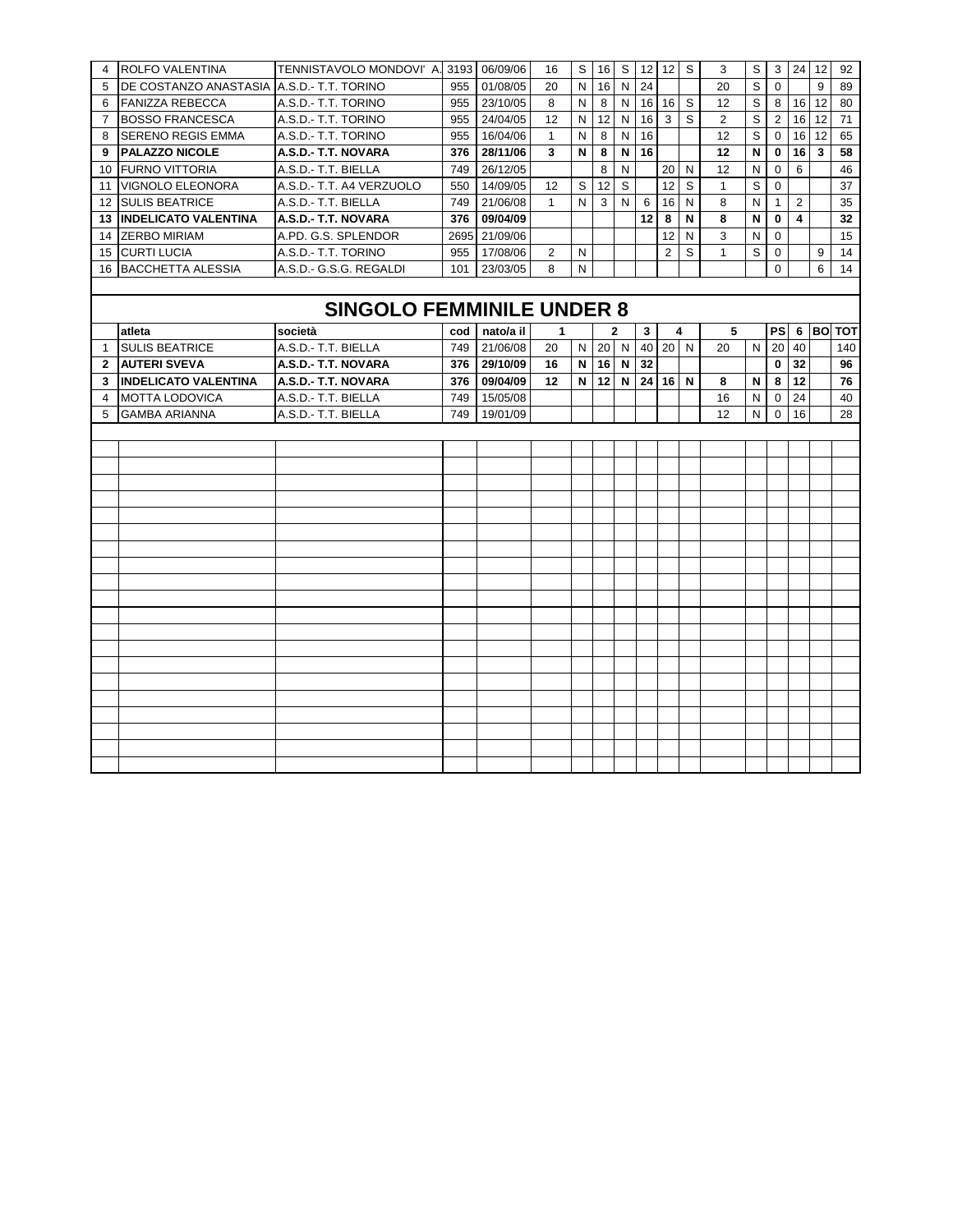| $\overline{4}$ | <b>ROLFO VALENTINA</b>                    | TENNISTAVOLO MONDOVI' A. 3193 06/09/06 |       |              | 16           |   | $S$   16   $S$   12   12   $S$ |              |              |                |    | 3              | S |                 | $3 \mid 24 \mid 12$ |           | 92  |
|----------------|-------------------------------------------|----------------------------------------|-------|--------------|--------------|---|--------------------------------|--------------|--------------|----------------|----|----------------|---|-----------------|---------------------|-----------|-----|
| 5              | DE COSTANZO ANASTASIA A.S.D.- T.T. TORINO |                                        | 955   | 01/08/05     | 20           | N | 16                             | N            | 24           |                |    | 20             | S | $\Omega$        |                     | 9         | 89  |
|                | 6 FANIZZA REBECCA                         | A.S.D.- T.T. TORINO                    | 955   | 23/10/05     | 8            | N | 8                              | $\mathsf{N}$ |              | $16$ 16        | -S | 12             | S | 8 I             |                     | 16 12     | 80  |
|                | 7 BOSSO FRANCESCA                         | A.S.D.- T.T. TORINO                    | 955   | 24/04/05     | 12           | N | 12 <sup>°</sup>                | N            | 16           | $\mathbf{3}$   | S  | $\overline{2}$ | S | 2               |                     | $16$   12 | 71  |
| 8              | <b>SERENO REGIS EMMA</b>                  | A.S.D.- T.T. TORINO                    | 955   | 16/04/06     | $\mathbf{1}$ | N | 8                              | N            | 16           |                |    | 12             | S | $\overline{0}$  |                     | 16 12     | 65  |
|                | 9   PALAZZO NICOLE                        | A.S.D.- T.T. NOVARA                    | 376 l | 28/11/06     | 3            | N | 8                              | N            | 16           |                |    | 12             | N | 0               | 16 I                | 3         | 58  |
|                | 10 FURNO VITTORIA                         | A.S.D.- T.T. BIELLA                    | 749   | 26/12/05     |              |   | 8                              | N            |              | 20             | N  | 12             | N | $\Omega$        | 6                   |           | 46  |
|                | 11 VIGNOLO ELEONORA                       | A.S.D.- T.T. A4 VERZUOLO               | 550   | 14/09/05     | 12           | S | 12                             | S            |              | 12             | S  | $\mathbf{1}$   | S | $\mathbf{0}$    |                     |           | 37  |
|                | 12 SULIS BEATRICE                         | A.S.D.- T.T. BIELLA                    | 749   | 21/06/08     | $\mathbf{1}$ | N | 3                              | N            | 6            | 16             | N  | 8              | N | $\mathbf{1}$    | $\overline{2}$      |           | 35  |
|                | <b>13 INDELICATO VALENTINA</b>            | A.S.D.- T.T. NOVARA                    | 376   | 09/04/09     |              |   |                                |              | 12           | 8              | N  | 8              | N | $\mathbf 0$     | 4                   |           | 32  |
|                | 14 ZERBO MIRIAM                           | A.PD. G.S. SPLENDOR                    | 2695  | 21/09/06     |              |   |                                |              |              | 12             | N  | 3              | N | $\mathbf 0$     |                     |           | 15  |
|                | 15 CURTI LUCIA                            | A.S.D.- T.T. TORINO                    | 955   | 17/08/06     | 2            | N |                                |              |              | $\overline{2}$ | S  | $\mathbf{1}$   | S | 0               |                     | 9         | 14  |
|                | 16 BACCHETTA ALESSIA                      | A.S.D.- G.S.G. REGALDI                 |       | 101 23/03/05 | 8            | N |                                |              |              |                |    |                |   | $\mathbf{0}$    |                     | 6         | 14  |
|                |                                           |                                        |       |              |              |   |                                |              |              |                |    |                |   |                 |                     |           |     |
|                |                                           | <b>SINGOLO FEMMINILE UNDER 8</b>       |       |              |              |   |                                |              |              |                |    |                |   |                 |                     |           |     |
|                |                                           |                                        |       |              |              |   |                                |              |              |                |    |                |   |                 |                     |           |     |
|                | atleta                                    | società                                | cod   | nato/a il    | 1            |   |                                | $\mathbf{2}$ | $\mathbf{3}$ |                | 4  | 5              |   | <b>PS</b>       |                     | 6 BO TOT  |     |
| $\mathbf{1}$   | <b>SULIS BEATRICE</b>                     | A.S.D.- T.T. BIELLA                    | 749   | 21/06/08     | 20           | N | 20 N                           |              | 40           | $20$ N         |    | 20             | N | 20 <sup>1</sup> | 40                  |           | 140 |
|                | 2 AUTERI SVEVA                            | A.S.D.- T.T. NOVARA                    | 376 l | 29/10/09     | 16           | N | $16$ N                         |              | 32           |                |    |                |   | $\mathbf{0}$    | 32                  |           | 96  |
|                |                                           | A.S.D.- T.T. NOVARA                    | 376 l | 09/04/09     | 12           | N | 12                             | N            |              | $24$ 16 N      |    | 8              | N | 8               | 112                 |           | 76  |
|                | 3 <b>INDELICATO VALENTINA</b>             |                                        |       |              |              |   |                                |              |              |                |    |                |   |                 |                     |           |     |
| 4              | <b>MOTTA LODOVICA</b>                     | A.S.D.- T.T. BIELLA                    | 749   | 15/05/08     |              |   |                                |              |              |                |    | 16             | N |                 | 0 <sub>24</sub>     |           | 40  |
| 5              | <b>GAMBA ARIANNA</b>                      | A.S.D.- T.T. BIELLA                    | 749   | 19/01/09     |              |   |                                |              |              |                |    | 12             | N | $\overline{0}$  | 16                  |           | 28  |
|                |                                           |                                        |       |              |              |   |                                |              |              |                |    |                |   |                 |                     |           |     |
|                |                                           |                                        |       |              |              |   |                                |              |              |                |    |                |   |                 |                     |           |     |
|                |                                           |                                        |       |              |              |   |                                |              |              |                |    |                |   |                 |                     |           |     |
|                |                                           |                                        |       |              |              |   |                                |              |              |                |    |                |   |                 |                     |           |     |
|                |                                           |                                        |       |              |              |   |                                |              |              |                |    |                |   |                 |                     |           |     |
|                |                                           |                                        |       |              |              |   |                                |              |              |                |    |                |   |                 |                     |           |     |
|                |                                           |                                        |       |              |              |   |                                |              |              |                |    |                |   |                 |                     |           |     |
|                |                                           |                                        |       |              |              |   |                                |              |              |                |    |                |   |                 |                     |           |     |
|                |                                           |                                        |       |              |              |   |                                |              |              |                |    |                |   |                 |                     |           |     |
|                |                                           |                                        |       |              |              |   |                                |              |              |                |    |                |   |                 |                     |           |     |
|                |                                           |                                        |       |              |              |   |                                |              |              |                |    |                |   |                 |                     |           |     |
|                |                                           |                                        |       |              |              |   |                                |              |              |                |    |                |   |                 |                     |           |     |
|                |                                           |                                        |       |              |              |   |                                |              |              |                |    |                |   |                 |                     |           |     |
|                |                                           |                                        |       |              |              |   |                                |              |              |                |    |                |   |                 |                     |           |     |
|                |                                           |                                        |       |              |              |   |                                |              |              |                |    |                |   |                 |                     |           |     |
|                |                                           |                                        |       |              |              |   |                                |              |              |                |    |                |   |                 |                     |           |     |
|                |                                           |                                        |       |              |              |   |                                |              |              |                |    |                |   |                 |                     |           |     |
|                |                                           |                                        |       |              |              |   |                                |              |              |                |    |                |   |                 |                     |           |     |
|                |                                           |                                        |       |              |              |   |                                |              |              |                |    |                |   |                 |                     |           |     |
|                |                                           |                                        |       |              |              |   |                                |              |              |                |    |                |   |                 |                     |           |     |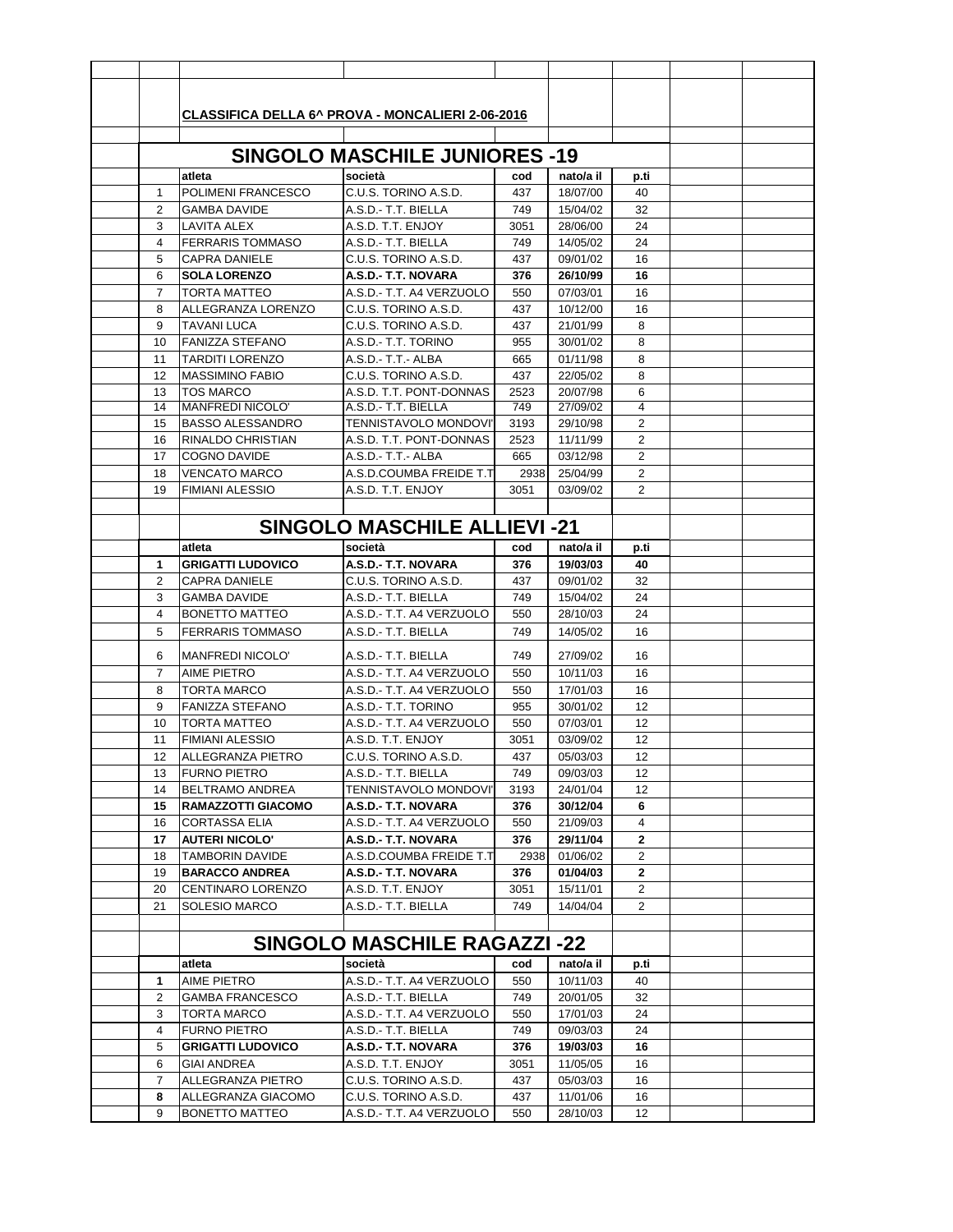|                     | <b>CLASSIFICA DELLA 6^ PROVA - MONCALIERI 2-06-2016</b> |                                             |             |                      |                |  |
|---------------------|---------------------------------------------------------|---------------------------------------------|-------------|----------------------|----------------|--|
|                     |                                                         |                                             |             |                      |                |  |
|                     |                                                         | <b>SINGOLO MASCHILE JUNIORES -19</b>        |             |                      |                |  |
|                     | atleta                                                  | società                                     | cod         | nato/a il            |                |  |
| 1                   | POLIMENI FRANCESCO                                      | C.U.S. TORINO A.S.D.                        | 437         |                      | p.ti           |  |
| 2                   | <b>GAMBA DAVIDE</b>                                     | A.S.D.- T.T. BIELLA                         | 749         | 18/07/00<br>15/04/02 | 40<br>32       |  |
| 3                   | LAVITA ALEX                                             | A.S.D. T.T. ENJOY                           |             | 28/06/00             | 24             |  |
| 4                   | <b>FERRARIS TOMMASO</b>                                 | A.S.D.- T.T. BIELLA                         | 3051<br>749 | 14/05/02             | 24             |  |
|                     |                                                         |                                             |             | 09/01/02             |                |  |
| 5                   | <b>CAPRA DANIELE</b><br><b>SOLA LORENZO</b>             | C.U.S. TORINO A.S.D.<br>A.S.D.- T.T. NOVARA | 437<br>376  | 26/10/99             | 16<br>16       |  |
| 6<br>$\overline{7}$ | TORTA MATTEO                                            | A.S.D.- T.T. A4 VERZUOLO                    |             | 07/03/01             | 16             |  |
|                     | ALLEGRANZA LORENZO                                      | C.U.S. TORINO A.S.D.                        | 550         |                      | 16             |  |
| 8<br>9              | <b>TAVANI LUCA</b>                                      | C.U.S. TORINO A.S.D.                        | 437<br>437  | 10/12/00<br>21/01/99 | 8              |  |
| 10                  | <b>FANIZZA STEFANO</b>                                  | A.S.D.- T.T. TORINO                         |             |                      |                |  |
| 11                  |                                                         | A.S.D.- T.T.- ALBA                          | 955         | 30/01/02             | 8<br>8         |  |
| 12                  | TARDITI LORENZO<br><b>MASSIMINO FABIO</b>               | C.U.S. TORINO A.S.D.                        | 665         | 01/11/98<br>22/05/02 | 8              |  |
|                     |                                                         | A.S.D. T.T. PONT-DONNAS                     | 437         | 20/07/98             |                |  |
| 13<br>14            | <b>TOS MARCO</b><br><b>MANFREDI NICOLO'</b>             | A.S.D.- T.T. BIELLA                         | 2523<br>749 | 27/09/02             | 6<br>4         |  |
| 15                  | <b>BASSO ALESSANDRO</b>                                 | TENNISTAVOLO MONDOVI'                       | 3193        | 29/10/98             | 2              |  |
| 16                  | RINALDO CHRISTIAN                                       | A.S.D. T.T. PONT-DONNAS                     | 2523        | 11/11/99             | $\overline{c}$ |  |
| 17                  | <b>COGNO DAVIDE</b>                                     | A.S.D.- T.T.- ALBA                          | 665         | 03/12/98             | 2              |  |
| 18                  | <b>VENCATO MARCO</b>                                    | A.S.D.COUMBA FREIDE T.T                     | 2938        | 25/04/99             | 2              |  |
| 19                  | <b>FIMIANI ALESSIO</b>                                  | A.S.D. T.T. ENJOY                           | 3051        | 03/09/02             | 2              |  |
|                     |                                                         |                                             |             |                      |                |  |
|                     |                                                         |                                             |             |                      |                |  |
|                     |                                                         | <b>SINGOLO MASCHILE ALLIEVI-21</b>          |             |                      |                |  |
|                     | atleta                                                  | società                                     | cod         | nato/a il            | p.ti           |  |
| 1                   | <b>GRIGATTI LUDOVICO</b>                                | A.S.D.- T.T. NOVARA                         | 376         | 19/03/03             | 40             |  |
| 2                   | CAPRA DANIELE                                           | C.U.S. TORINO A.S.D.                        | 437         | 09/01/02             | 32             |  |
| 3                   | <b>GAMBA DAVIDE</b>                                     | A.S.D.- T.T. BIELLA                         | 749         | 15/04/02             | 24             |  |
| 4                   | <b>BONETTO MATTEO</b>                                   | A.S.D.- T.T. A4 VERZUOLO                    | 550         | 28/10/03             | 24             |  |
| 5                   | <b>FERRARIS TOMMASO</b>                                 | A.S.D.- T.T. BIELLA                         | 749         | 14/05/02             | 16             |  |
| 6                   | <b>MANFREDI NICOLO'</b>                                 | A.S.D.- T.T. BIELLA                         | 749         | 27/09/02             | 16             |  |
| 7                   | <b>AIME PIETRO</b>                                      | A.S.D.- T.T. A4 VERZUOLO                    | 550         | 10/11/03             | 16             |  |
| 8                   | <b>TORTA MARCO</b>                                      | A.S.D.- T.T. A4 VERZUOLO                    | 550         | 17/01/03             | 16             |  |
| 9                   | <b>FANIZZA STEFANO</b>                                  | A.S.D.- T.T. TORINO                         | 955         | 30/01/02             | 12             |  |
| 10                  | <b>TORTA MATTEO</b>                                     | A.S.D.- T.T. A4 VERZUOLO                    | 550         | 07/03/01             | 12             |  |
| 11                  | <b>FIMIANI ALESSIO</b>                                  | A.S.D. T.T. ENJOY                           | 3051        | 03/09/02             | 12             |  |
| 12                  | ALLEGRANZA PIETRO                                       | C.U.S. TORINO A.S.D.                        | 437         | 05/03/03             | 12             |  |
| 13                  | <b>FURNO PIETRO</b>                                     | A.S.D.- T.T. BIELLA                         | 749         | 09/03/03             | 12             |  |
| 14                  | BELTRAMO ANDREA                                         | TENNISTAVOLO MONDOVI'                       | 3193        | 24/01/04             | 12             |  |
| 15                  | RAMAZZOTTI GIACOMO                                      | A.S.D.- T.T. NOVARA                         | 376         | 30/12/04             | 6              |  |
| 16                  | <b>CORTASSA ELIA</b>                                    | A.S.D.- T.T. A4 VERZUOLO                    | 550         | 21/09/03             | 4              |  |
| 17                  | <b>AUTERI NICOLO'</b>                                   | A.S.D.- T.T. NOVARA                         | 376         | 29/11/04             | $\mathbf{2}$   |  |
| 18                  | TAMBORIN DAVIDE                                         | A.S.D.COUMBA FREIDE T.T                     | 2938        | 01/06/02             | 2              |  |
| 19                  | <b>BARACCO ANDREA</b>                                   | A.S.D.- T.T. NOVARA                         | 376         | 01/04/03             | $\mathbf{2}$   |  |
| 20                  | CENTINARO LORENZO                                       | A.S.D. T.T. ENJOY                           | 3051        | 15/11/01             | 2              |  |
| 21                  | <b>SOLESIO MARCO</b>                                    | A.S.D.- T.T. BIELLA                         | 749         | 14/04/04             | 2              |  |
|                     |                                                         |                                             |             |                      |                |  |
|                     |                                                         | <b>SINGOLO MASCHILE RAGAZZI-22</b>          |             |                      |                |  |
|                     |                                                         |                                             |             |                      |                |  |
|                     | atleta                                                  | società                                     | cod         | nato/a il            | p.ti           |  |
| 1                   | <b>AIME PIETRO</b>                                      | A.S.D.- T.T. A4 VERZUOLO                    | 550         | 10/11/03             | 40             |  |
| 2                   | GAMBA FRANCESCO                                         | A.S.D.- T.T. BIELLA                         | 749         | 20/01/05             | 32             |  |
| 3                   | TORTA MARCO                                             | A.S.D.- T.T. A4 VERZUOLO                    | 550         | 17/01/03             | 24             |  |
| 4<br>5              | <b>FURNO PIETRO</b><br><b>GRIGATTI LUDOVICO</b>         | A.S.D.- T.T. BIELLA<br>A.S.D.- T.T. NOVARA  | 749         | 09/03/03             | 24<br>16       |  |
|                     | <b>GIAI ANDREA</b>                                      | A.S.D. T.T. ENJOY                           | 376         | 19/03/03             |                |  |
| 6<br>7              | ALLEGRANZA PIETRO                                       | C.U.S. TORINO A.S.D.                        | 3051<br>437 | 11/05/05<br>05/03/03 | 16<br>16       |  |
|                     |                                                         |                                             | 437         |                      |                |  |
| 8<br>9              | ALLEGRANZA GIACOMO                                      | C.U.S. TORINO A.S.D.                        |             | 11/01/06             | 16             |  |
|                     | BONETTO MATTEO                                          | A.S.D.- T.T. A4 VERZUOLO                    | 550         | 28/10/03             | 12             |  |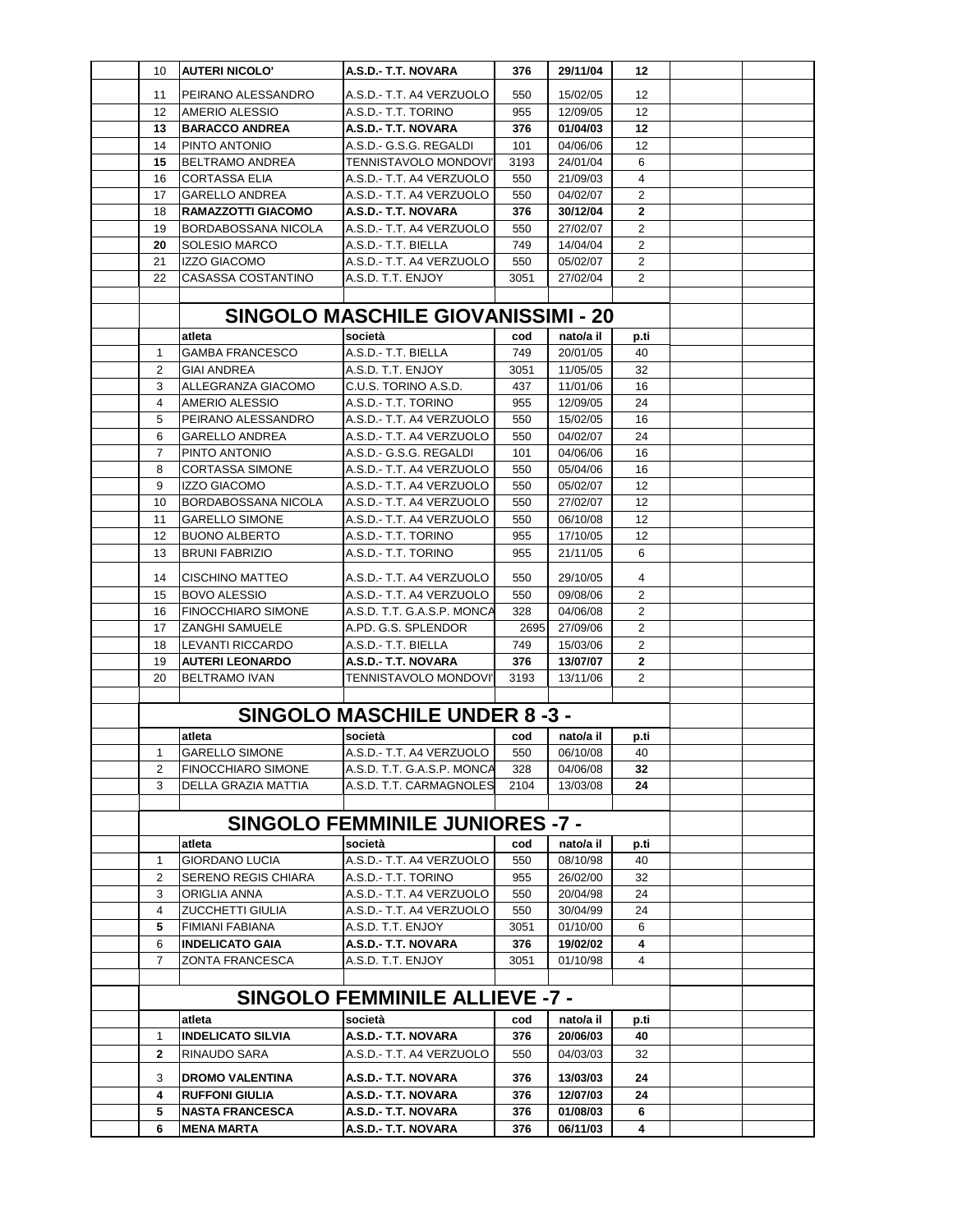| 10             | <b>AUTERI NICOLO'</b>     | A.S.D.- T.T. NOVARA                       | 376  | 29/11/04  | 12             |  |
|----------------|---------------------------|-------------------------------------------|------|-----------|----------------|--|
| 11             | PEIRANO ALESSANDRO        | A.S.D.- T.T. A4 VERZUOLO                  | 550  | 15/02/05  | 12             |  |
| 12             | AMERIO ALESSIO            | A.S.D.- T.T. TORINO                       | 955  | 12/09/05  | 12             |  |
| 13             | <b>BARACCO ANDREA</b>     | A.S.D.- T.T. NOVARA                       | 376  | 01/04/03  | 12             |  |
| 14             | PINTO ANTONIO             | A.S.D.- G.S.G. REGALDI                    | 101  | 04/06/06  | 12             |  |
| 15             | BELTRAMO ANDREA           | TENNISTAVOLO MONDOVI'                     | 3193 | 24/01/04  | 6              |  |
| 16             | <b>CORTASSA ELIA</b>      | A.S.D.- T.T. A4 VERZUOLO                  | 550  | 21/09/03  | 4              |  |
| 17             | <b>GARELLO ANDREA</b>     | A.S.D.- T.T. A4 VERZUOLO                  | 550  | 04/02/07  | 2              |  |
| 18             | RAMAZZOTTI GIACOMO        | A.S.D.- T.T. NOVARA                       | 376  | 30/12/04  | 2              |  |
| 19             | BORDABOSSANA NICOLA       | A.S.D.- T.T. A4 VERZUOLO                  | 550  | 27/02/07  | 2              |  |
| 20             | <b>SOLESIO MARCO</b>      | A.S.D.- T.T. BIELLA                       | 749  | 14/04/04  | 2              |  |
| 21             | <b>IZZO GIACOMO</b>       | A.S.D.- T.T. A4 VERZUOLO                  | 550  | 05/02/07  | 2              |  |
| 22             | <b>CASASSA COSTANTINO</b> | A.S.D. T.T. ENJOY                         | 3051 | 27/02/04  | 2              |  |
|                |                           |                                           |      |           |                |  |
|                |                           | <b>SINGOLO MASCHILE GIOVANISSIMI - 20</b> |      |           |                |  |
|                | atleta                    | società                                   | cod  | nato/a il | p.ti           |  |
| $\mathbf{1}$   | <b>GAMBA FRANCESCO</b>    | A.S.D.- T.T. BIELLA                       | 749  | 20/01/05  | 40             |  |
| $\overline{2}$ | GIAI ANDREA               | A.S.D. T.T. ENJOY                         | 3051 | 11/05/05  | 32             |  |
| 3              | ALLEGRANZA GIACOMO        | C.U.S. TORINO A.S.D.                      | 437  | 11/01/06  | 16             |  |
| 4              | AMERIO ALESSIO            | A.S.D.- T.T. TORINO                       | 955  | 12/09/05  | 24             |  |
| 5              | PEIRANO ALESSANDRO        | A.S.D.- T.T. A4 VERZUOLO                  | 550  | 15/02/05  | 16             |  |
| 6              | <b>GARELLO ANDREA</b>     | A.S.D.- T.T. A4 VERZUOLO                  | 550  | 04/02/07  | 24             |  |
| $\overline{7}$ | PINTO ANTONIO             | A.S.D.- G.S.G. REGALDI                    | 101  | 04/06/06  | 16             |  |
| 8              | <b>CORTASSA SIMONE</b>    | A.S.D.- T.T. A4 VERZUOLO                  | 550  | 05/04/06  | 16             |  |
| 9              | <b>IZZO GIACOMO</b>       | A.S.D.- T.T. A4 VERZUOLO                  | 550  | 05/02/07  | 12             |  |
| 10             | BORDABOSSANA NICOLA       | A.S.D.- T.T. A4 VERZUOLO                  | 550  | 27/02/07  | 12             |  |
| 11             | GARELLO SIMONE            | A.S.D.- T.T. A4 VERZUOLO                  | 550  | 06/10/08  | 12             |  |
| 12             | <b>BUONO ALBERTO</b>      | A.S.D.- T.T. TORINO                       | 955  | 17/10/05  | 12             |  |
| 13             | <b>BRUNI FABRIZIO</b>     | A.S.D.- T.T. TORINO                       | 955  | 21/11/05  | 6              |  |
| 14             | <b>CISCHINO MATTEO</b>    | A.S.D.- T.T. A4 VERZUOLO                  | 550  | 29/10/05  | 4              |  |
| 15             | <b>BOVO ALESSIO</b>       | A.S.D.- T.T. A4 VERZUOLO                  | 550  | 09/08/06  | 2              |  |
| 16             | <b>FINOCCHIARO SIMONE</b> | A.S.D. T.T. G.A.S.P. MONCA                | 328  | 04/06/08  | 2              |  |
| 17             | <b>ZANGHI SAMUELE</b>     | A.PD. G.S. SPLENDOR                       | 2695 | 27/09/06  | $\overline{2}$ |  |
| 18             | LEVANTI RICCARDO          | A.S.D.- T.T. BIELLA                       | 749  | 15/03/06  | 2              |  |
| 19             | <b>AUTERI LEONARDO</b>    | A.S.D.- T.T. NOVARA                       | 376  | 13/07/07  | $\mathbf{2}$   |  |
| 20             | <b>BELTRAMO IVAN</b>      | TENNISTAVOLO MONDOVI'                     | 3193 | 13/11/06  | $\overline{2}$ |  |
|                |                           |                                           |      |           |                |  |
|                |                           | <b>SINGOLO MASCHILE UNDER 8-3-</b>        |      |           |                |  |
|                | atleta                    | società                                   | cod  | nato/a il | p.ti           |  |
| 1              | <b>GARELLO SIMONE</b>     | A.S.D.- T.T. A4 VERZUOLO                  | 550  | 06/10/08  | 40             |  |
| 2              | <b>FINOCCHIARO SIMONE</b> | A.S.D. T.T. G.A.S.P. MONCA                | 328  | 04/06/08  | 32             |  |
| 3              | DELLA GRAZIA MATTIA       | A.S.D. T.T. CARMAGNOLES                   | 2104 | 13/03/08  | 24             |  |
|                |                           |                                           |      |           |                |  |
|                |                           | <b>SINGOLO FEMMINILE JUNIORES -7 -</b>    |      |           |                |  |
|                | atleta                    | società                                   | cod  | nato/a il | p.ti           |  |
| 1              | GIORDANO LUCIA            | A.S.D.- T.T. A4 VERZUOLO                  | 550  | 08/10/98  | 40             |  |
| 2              | SERENO REGIS CHIARA       | A.S.D.- T.T. TORINO                       | 955  | 26/02/00  | 32             |  |
| 3              | ORIGLIA ANNA              | A.S.D.- T.T. A4 VERZUOLO                  | 550  | 20/04/98  | 24             |  |
| 4              | ZUCCHETTI GIULIA          | A.S.D.- T.T. A4 VERZUOLO                  | 550  | 30/04/99  | 24             |  |
| 5              | FIMIANI FABIANA           | A.S.D. T.T. ENJOY                         | 3051 | 01/10/00  | 6              |  |
| 6<br>7         | <b>INDELICATO GAIA</b>    | A.S.D.- T.T. NOVARA                       | 376  | 19/02/02  | 4              |  |
|                | ZONTA FRANCESCA           | A.S.D. T.T. ENJOY                         | 3051 | 01/10/98  | 4              |  |
|                |                           |                                           |      |           |                |  |
|                |                           | <b>SINGOLO FEMMINILE ALLIEVE -7 -</b>     |      |           |                |  |
|                | atleta                    | società                                   | cod  | nato/a il | p.ti           |  |
| 1              | <b>INDELICATO SILVIA</b>  | A.S.D.- T.T. NOVARA                       | 376  | 20/06/03  | 40             |  |
| 2              | RINAUDO SARA              | A.S.D.- T.T. A4 VERZUOLO                  | 550  | 04/03/03  | 32             |  |
| 3              | <b>DROMO VALENTINA</b>    | A.S.D.- T.T. NOVARA                       | 376  | 13/03/03  | 24             |  |
| 4              | <b>RUFFONI GIULIA</b>     | A.S.D.- T.T. NOVARA                       | 376  | 12/07/03  | 24             |  |
| 5              | <b>NASTA FRANCESCA</b>    | A.S.D.- T.T. NOVARA                       | 376  | 01/08/03  | 6              |  |
| 6              | MENA MARTA                | A.S.D.- T.T. NOVARA                       | 376  | 06/11/03  | 4              |  |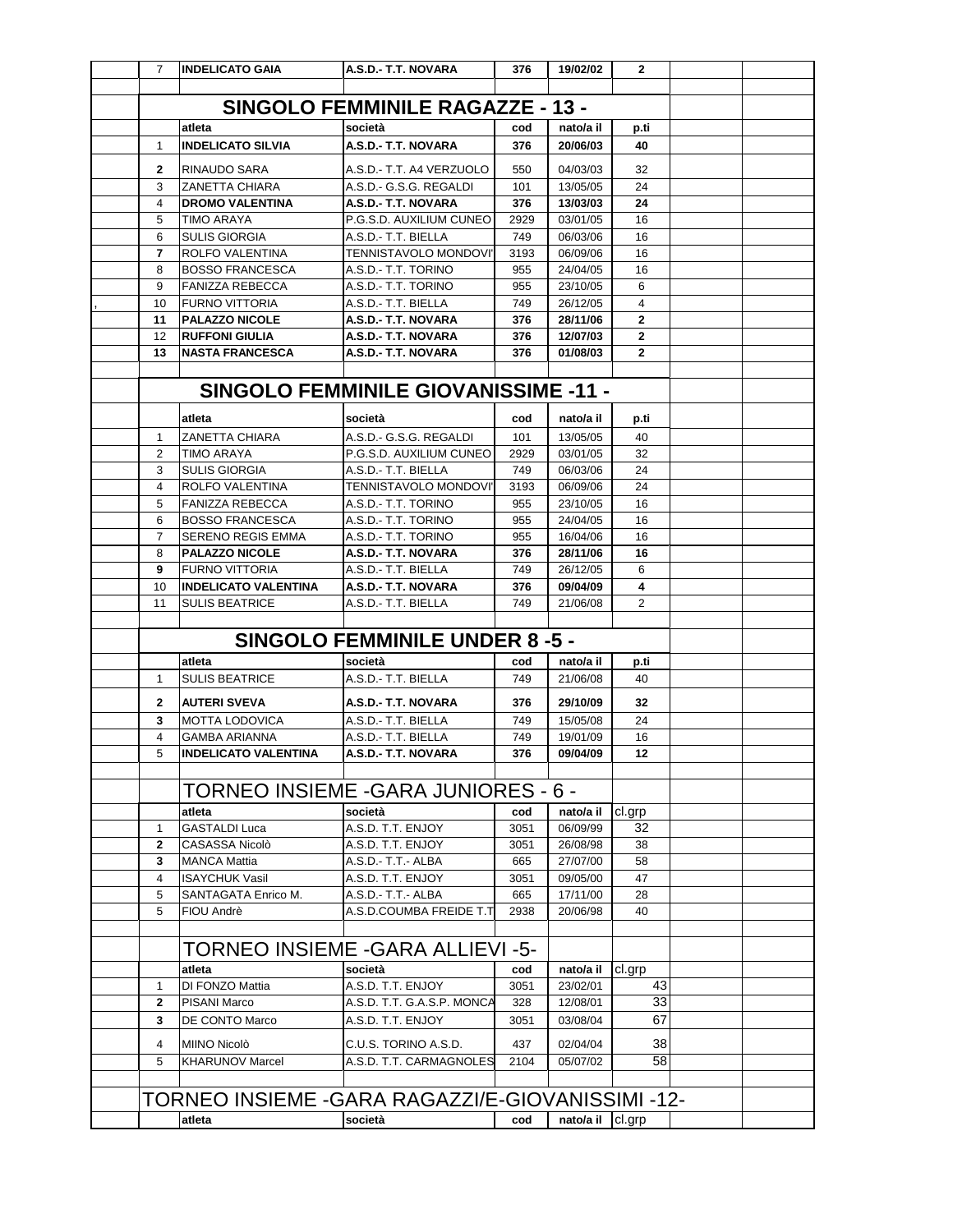| $\overline{7}$ | <b>INDELICATO GAIA</b>                           | A.S.D.- T.T. NOVARA                             | 376          | 19/02/02             | $\mathbf{2}$                   |  |
|----------------|--------------------------------------------------|-------------------------------------------------|--------------|----------------------|--------------------------------|--|
|                |                                                  |                                                 |              |                      |                                |  |
|                |                                                  | <b>SINGOLO FEMMINILE RAGAZZE - 13 -</b>         |              |                      |                                |  |
|                | atleta                                           | società                                         | cod          | nato/a il            | p.ti                           |  |
| 1              | <b>INDELICATO SILVIA</b>                         | A.S.D.- T.T. NOVARA                             | 376          | 20/06/03             | 40                             |  |
| 2              | RINAUDO SARA                                     | A.S.D.- T.T. A4 VERZUOLO                        | 550          | 04/03/03             | 32                             |  |
| 3              | <b>ZANETTA CHIARA</b>                            | A.S.D.- G.S.G. REGALDI                          | 101          | 13/05/05             | 24                             |  |
| 4<br>5         | <b>DROMO VALENTINA</b><br><b>TIMO ARAYA</b>      | A.S.D.- T.T. NOVARA<br>P.G.S.D. AUXILIUM CUNEO  | 376<br>2929  | 13/03/03<br>03/01/05 | 24<br>16                       |  |
| 6              | <b>SULIS GIORGIA</b>                             | A.S.D.- T.T. BIELLA                             | 749          | 06/03/06             | 16                             |  |
| 7              | <b>ROLFO VALENTINA</b>                           | TENNISTAVOLO MONDOVI'                           | 3193         | 06/09/06             | 16                             |  |
| 8              | <b>BOSSO FRANCESCA</b>                           | A.S.D.- T.T. TORINO                             | 955          | 24/04/05             | 16                             |  |
| 9              | <b>FANIZZA REBECCA</b>                           | A.S.D.- T.T. TORINO                             | 955          | 23/10/05             | 6                              |  |
| 10             | <b>FURNO VITTORIA</b>                            | A.S.D.- T.T. BIELLA                             | 749          | 26/12/05             | $\overline{4}$                 |  |
| 11<br>12       | <b>PALAZZO NICOLE</b><br><b>RUFFONI GIULIA</b>   | A.S.D.- T.T. NOVARA<br>A.S.D.- T.T. NOVARA      | 376<br>376   | 28/11/06<br>12/07/03 | $\overline{2}$<br>$\mathbf{2}$ |  |
| 13             | <b>NASTA FRANCESCA</b>                           | A.S.D.- T.T. NOVARA                             | 376          | 01/08/03             | $\overline{2}$                 |  |
|                |                                                  |                                                 |              |                      |                                |  |
|                |                                                  | <b>SINGOLO FEMMINILE GIOVANISSIME -11 -</b>     |              |                      |                                |  |
|                | atleta                                           | società                                         | cod          | nato/a il            | p.ti                           |  |
| 1              | <b>ZANETTA CHIARA</b>                            | A.S.D.- G.S.G. REGALDI                          | 101          | 13/05/05             | 40                             |  |
| 2              | <b>TIMO ARAYA</b>                                | P.G.S.D. AUXILIUM CUNEO                         | 2929         | 03/01/05             | 32                             |  |
| 3              | <b>SULIS GIORGIA</b>                             | A.S.D.- T.T. BIELLA                             | 749          | 06/03/06             | 24                             |  |
| 4              | ROLFO VALENTINA                                  | <b>TENNISTAVOLO MONDOVI'</b>                    | 3193         | 06/09/06             | 24                             |  |
| 5              | <b>FANIZZA REBECCA</b>                           | A.S.D.- T.T. TORINO                             | 955          | 23/10/05             | 16                             |  |
| 6              | <b>BOSSO FRANCESCA</b>                           | A.S.D.- T.T. TORINO                             | 955          | 24/04/05             | 16                             |  |
| 7              | <b>SERENO REGIS EMMA</b>                         | A.S.D.- T.T. TORINO                             | 955          | 16/04/06             | 16                             |  |
| 8<br>9         | <b>PALAZZO NICOLE</b><br><b>FURNO VITTORIA</b>   | A.S.D.- T.T. NOVARA<br>A.S.D.- T.T. BIELLA      | 376<br>749   | 28/11/06<br>26/12/05 | 16<br>6                        |  |
| 10             | <b>INDELICATO VALENTINA</b>                      | A.S.D.- T.T. NOVARA                             | 376          | 09/04/09             | 4                              |  |
| 11             | <b>SULIS BEATRICE</b>                            | A.S.D.- T.T. BIELLA                             | 749          | 21/06/08             | $\overline{2}$                 |  |
|                |                                                  |                                                 |              |                      |                                |  |
|                |                                                  | <b>SINGOLO FEMMINILE UNDER 8-5-</b>             |              |                      |                                |  |
|                | atleta                                           | società                                         | cod          | nato/a il            | p.ti                           |  |
| 1              | <b>SULIS BEATRICE</b>                            | A.S.D.- T.T. BIELLA                             | 749          | 21/06/08             | 40                             |  |
| 2              | <b>AUTERI SVEVA</b>                              | A.S.D.- T.T. NOVARA                             | 376          | 29/10/09             | 32                             |  |
| 3              | <b>MOTTA LODOVICA</b>                            | A.S.D.- T.T. BIELLA                             | 749          | 15/05/08             | 24                             |  |
| 4              | <b>GAMBA ARIANNA</b>                             | A.S.D.- T.T. BIELLA                             | 749          | 19/01/09             | 16                             |  |
| 5              | <b>INDELICATO VALENTINA</b>                      | A.S.D.- T.T. NOVARA                             | 376          | 09/04/09             | 12                             |  |
|                |                                                  |                                                 |              |                      |                                |  |
|                | TORNEO INSIEME -GARA JUNIORES - 6 -              |                                                 |              |                      |                                |  |
|                | atleta<br><b>GASTALDI Luca</b>                   | società                                         | cod          | nato/a il            | cl.grp                         |  |
| 1<br>2         | <b>CASASSA Nicolò</b>                            | A.S.D. T.T. ENJOY<br>A.S.D. T.T. ENJOY          | 3051<br>3051 | 06/09/99<br>26/08/98 | 32<br>38                       |  |
| 3              | <b>MANCA Mattia</b>                              | A.S.D.- T.T.- ALBA                              | 665          | 27/07/00             | 58                             |  |
| 4              | <b>ISAYCHUK Vasil</b>                            | A.S.D. T.T. ENJOY                               | 3051         | 09/05/00             | 47                             |  |
| 5              | SANTAGATA Enrico M.                              | A.S.D.- T.T.- ALBA                              | 665          | 17/11/00             | 28                             |  |
| 5              | FIOU Andrè                                       | A.S.D.COUMBA FREIDE T.T                         | 2938         | 20/06/98             | 40                             |  |
|                |                                                  |                                                 |              |                      |                                |  |
|                | <b>TORNEO INSIEME - GARA ALLIEVI - 5-</b>        |                                                 |              |                      |                                |  |
|                | atleta                                           | società                                         | cod          | nato/a il            | cl.grp                         |  |
| 1              | <b>DI FONZO Mattia</b>                           | A.S.D. T.T. ENJOY                               | 3051         | 23/02/01             | 43                             |  |
| 2<br>3         | <b>PISANI Marco</b><br>DE CONTO Marco            | A.S.D. T.T. G.A.S.P. MONCA<br>A.S.D. T.T. ENJOY | 328<br>3051  | 12/08/01<br>03/08/04 | 33<br>67                       |  |
|                |                                                  |                                                 |              |                      |                                |  |
| 4              | MIINO Nicolò                                     | C.U.S. TORINO A.S.D.                            | 437          | 02/04/04             | 38                             |  |
| 5              | <b>KHARUNOV Marcel</b>                           | A.S.D. T.T. CARMAGNOLES                         | 2104         | 05/07/02             | 58                             |  |
|                |                                                  |                                                 |              |                      |                                |  |
|                | TORNEO INSIEME -GARA RAGAZZI/E-GIOVANISSIMI -12- |                                                 |              |                      |                                |  |
|                | atleta                                           | società                                         | cod          | nato/a il cl.grp     |                                |  |